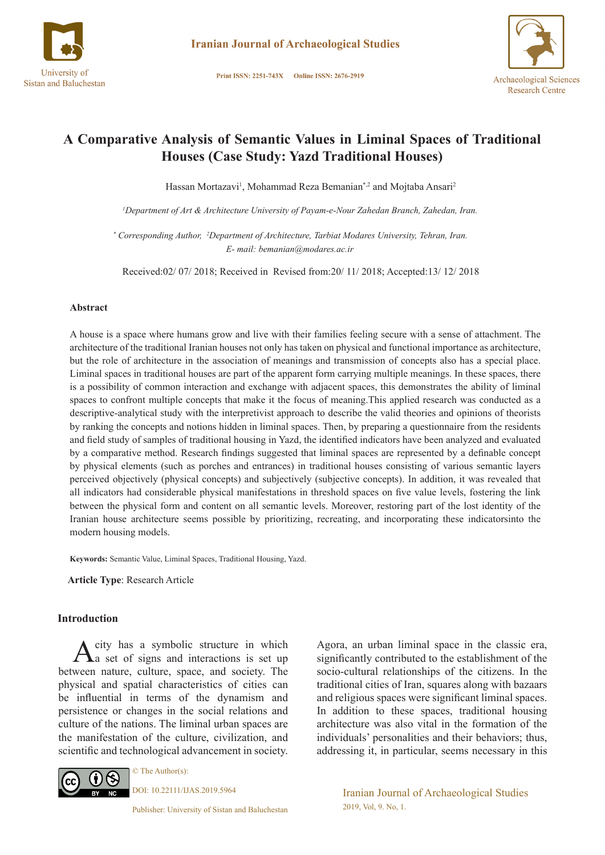

Print ISSN: 2251-743X Online ISSN: 2676-2919



# **A Comparative Analysis of Semantic Values in Liminal Spaces of Traditional Houses (Case Study: Yazd Traditional Houses)**

Hassan Mortazavi<sup>1</sup>, Mohammad Reza Bemanian<sup>\*,2</sup> and Mojtaba Ansari<sup>2</sup>

*1 Department of Art & Architecture University of Payam-e-Nour Zahedan Branch, Zahedan, Iran.* 

 *\* Corresponding Author, 2 Department of Architecture, Tarbiat Modares University, Tehran, Iran. E- mail: bemanian@modares.ac.ir*

Received:02/ 07/ 2018; Received in Revised from:20/ 11/ 2018; Accepted:13/ 12/ 2018

### **Abstract**

A house is a space where humans grow and live with their families feeling secure with a sense of attachment. The architecture of the traditional Iranian houses not only has taken on physical and functional importance as architecture, but the role of architecture in the association of meanings and transmission of concepts also has a special place. Liminal spaces in traditional houses are part of the apparent form carrying multiple meanings. In these spaces, there is a possibility of common interaction and exchange with adjacent spaces, this demonstrates the ability of liminal spaces to confront multiple concepts that make it the focus of meaning.This applied research was conducted as a descriptive-analytical study with the interpretivist approach to describe the valid theories and opinions of theorists by ranking the concepts and notions hidden in liminal spaces. Then, by preparing a questionnaire from the residents and field study of samples of traditional housing in Yazd, the identified indicators have been analyzed and evaluated by a comparative method. Research findings suggested that liminal spaces are represented by a definable concept by physical elements (such as porches and entrances) in traditional houses consisting of various semantic layers perceived objectively (physical concepts) and subjectively (subjective concepts). In addition, it was revealed that all indicators had considerable physical manifestations in threshold spaces on five value levels, fostering the link between the physical form and content on all semantic levels. Moreover, restoring part of the lost identity of the Iranian house architecture seems possible by prioritizing, recreating, and incorporating these indicatorsinto the modern housing models.

**Keywords:** Semantic Value, Liminal Spaces, Traditional Housing, Yazd.

**Article Type**: Research Article

#### **Introduction**

 $A$  city has a symbolic structure in which  $A$  a set of signs and interactions is set up between nature, culture, space, and society. The physical and spatial characteristics of cities can be influential in terms of the dynamism and persistence or changes in the social relations and culture of the nations. The liminal urban spaces are the manifestation of the culture, civilization, and scientific and technological advancement in society.



© The Author(s): DOI: 10.22111/IJAS.2019.5964

Publisher: University of Sistan and Baluchestan

Agora, an urban liminal space in the classic era, significantly contributed to the establishment of the socio-cultural relationships of the citizens. In the traditional cities of Iran, squares along with bazaars and religious spaces were significant liminal spaces. In addition to these spaces, traditional housing architecture was also vital in the formation of the individuals' personalities and their behaviors; thus, addressing it, in particular, seems necessary in this

> Iranian Journal of Archaeological Studies 2019, Vol, 9. No, 1.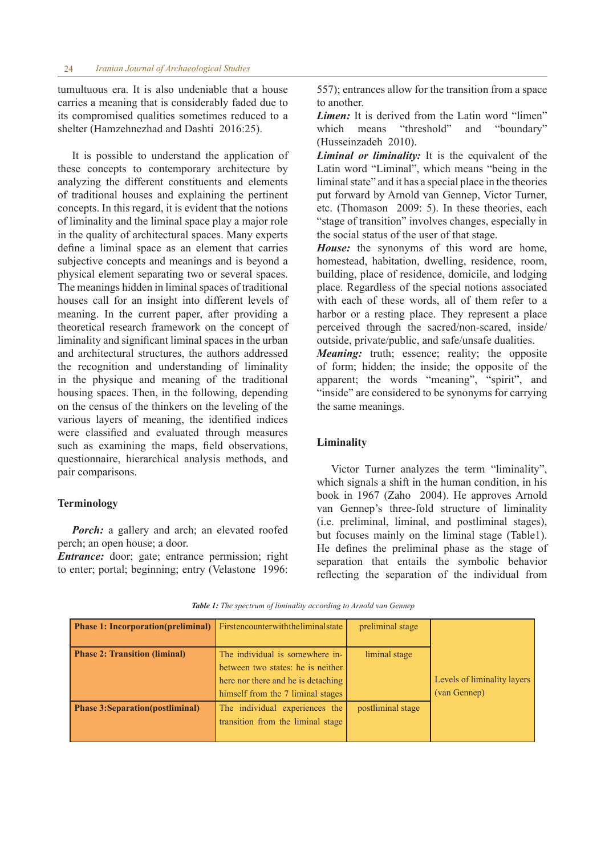tumultuous era. It is also undeniable that a house carries a meaning that is considerably faded due to its compromised qualities sometimes reduced to a shelter (Hamzehnezhad and Dashti 2016:25).

It is possible to understand the application of these concepts to contemporary architecture by analyzing the different constituents and elements of traditional houses and explaining the pertinent concepts. In this regard, it is evident that the notions of liminality and the liminal space play a major role in the quality of architectural spaces. Many experts define a liminal space as an element that carries subjective concepts and meanings and is beyond a physical element separating two or several spaces. The meanings hidden in liminal spaces of traditional houses call for an insight into different levels of meaning. In the current paper, after providing a theoretical research framework on the concept of liminality and significant liminal spaces in the urban and architectural structures, the authors addressed the recognition and understanding of liminality in the physique and meaning of the traditional housing spaces. Then, in the following, depending on the census of the thinkers on the leveling of the various layers of meaning, the identified indices were classified and evaluated through measures such as examining the maps, field observations, questionnaire, hierarchical analysis methods, and pair comparisons.

## **Terminology**

*Porch:* a gallery and arch; an elevated roofed perch; an open house; a door.

*Entrance:* door; gate; entrance permission; right to enter; portal; beginning; entry (Velastone 1996: 557); entrances allow for the transition from a space to another.

*Limen:* It is derived from the Latin word "limen" which means "threshold" and "boundary" (Husseinzadeh 2010).

*Liminal or liminality:* It is the equivalent of the Latin word "Liminal", which means "being in the liminal state" and it has a special place in the theories put forward by Arnold van Gennep, Victor Turner, etc. (Thomason 2009: 5). In these theories, each "stage of transition" involves changes, especially in the social status of the user of that stage.

*House:* the synonyms of this word are home, homestead, habitation, dwelling, residence, room, building, place of residence, domicile, and lodging place. Regardless of the special notions associated with each of these words, all of them refer to a harbor or a resting place. They represent a place perceived through the sacred/non-scared, inside/ outside, private/public, and safe/unsafe dualities.

*Meaning:* truth; essence; reality; the opposite of form; hidden; the inside; the opposite of the apparent; the words "meaning", "spirit", and "inside" are considered to be synonyms for carrying the same meanings.

#### **Liminality**

Victor Turner analyzes the term "liminality", which signals a shift in the human condition, in his book in 1967 (Zaho 2004). He approves Arnold van Gennep's three-fold structure of liminality (i.e. preliminal, liminal, and postliminal stages), but focuses mainly on the liminal stage (Table1). He defines the preliminal phase as the stage of separation that entails the symbolic behavior reflecting the separation of the individual from

|  | Table 1: The spectrum of liminality according to Arnold van Gennep |  |  |  |
|--|--------------------------------------------------------------------|--|--|--|
|--|--------------------------------------------------------------------|--|--|--|

| <b>Phase 1: Incorporation(preliminal)</b> Firstencounterwith the liminal state |                                                                                                                                                 | preliminal stage  |                                             |
|--------------------------------------------------------------------------------|-------------------------------------------------------------------------------------------------------------------------------------------------|-------------------|---------------------------------------------|
| <b>Phase 2: Transition (liminal)</b>                                           | The individual is somewhere in-<br>between two states: he is neither<br>here nor there and he is detaching<br>himself from the 7 liminal stages | liminal stage     | Levels of liminality layers<br>(van Gennep) |
| <b>Phase 3:Separation (postliminal)</b>                                        | The individual experiences the<br>transition from the liminal stage                                                                             | postliminal stage |                                             |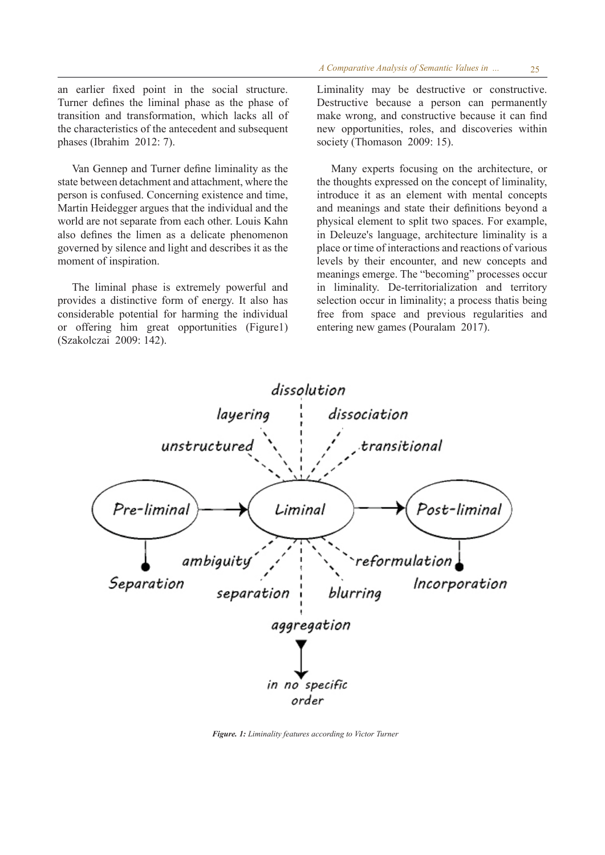an earlier fixed point in the social structure. Turner defines the liminal phase as the phase of transition and transformation, which lacks all of the characteristics of the antecedent and subsequent phases (Ibrahim 2012: 7).

Van Gennep and Turner define liminality as the state between detachment and attachment, where the person is confused. Concerning existence and time, Martin Heidegger argues that the individual and the world are not separate from each other. Louis Kahn also defines the limen as a delicate phenomenon governed by silence and light and describes it as the moment of inspiration.

The liminal phase is extremely powerful and provides a distinctive form of energy. It also has considerable potential for harming the individual or offering him great opportunities (Figure1) (Szakolczai 2009: 142).

Liminality may be destructive or constructive. Destructive because a person can permanently make wrong, and constructive because it can find new opportunities, roles, and discoveries within society (Thomason 2009: 15).

Many experts focusing on the architecture, or the thoughts expressed on the concept of liminality, introduce it as an element with mental concepts and meanings and state their definitions beyond a physical element to split two spaces. For example, in Deleuze's language, architecture liminality is a place or time of interactions and reactions of various levels by their encounter, and new concepts and meanings emerge. The "becoming" processes occur in liminality. De-territorialization and territory selection occur in liminality; a process thatis being free from space and previous regularities and entering new games (Pouralam 2017).



*Figure. 1: Liminality features according to Victor Turner*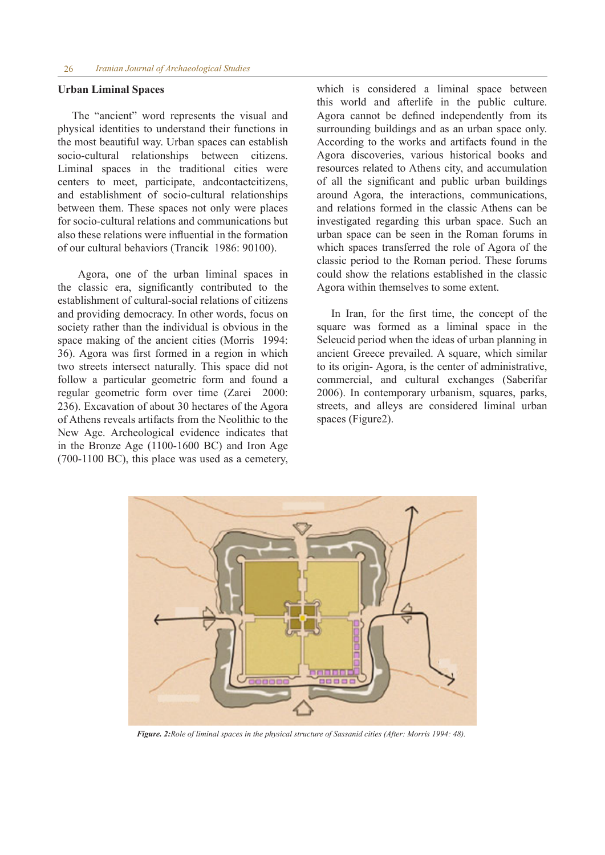#### **Urban Liminal Spaces**

The "ancient" word represents the visual and physical identities to understand their functions in the most beautiful way. Urban spaces can establish socio-cultural relationships between citizens. Liminal spaces in the traditional cities were centers to meet, participate, andcontactcitizens, and establishment of socio-cultural relationships between them. These spaces not only were places for socio-cultural relations and communications but also these relations were influential in the formation of our cultural behaviors (Trancik 1986: 90100).

 Agora, one of the urban liminal spaces in the classic era, significantly contributed to the establishment of cultural-social relations of citizens and providing democracy. In other words, focus on society rather than the individual is obvious in the space making of the ancient cities (Morris 1994: 36). Agora was first formed in a region in which two streets intersect naturally. This space did not follow a particular geometric form and found a regular geometric form over time (Zarei 2000: 236). Excavation of about 30 hectares of the Agora of Athens reveals artifacts from the Neolithic to the New Age. Archeological evidence indicates that in the Bronze Age (1100-1600 BC) and Iron Age (700-1100 BC), this place was used as a cemetery, which is considered a liminal space between this world and afterlife in the public culture. Agora cannot be defined independently from its surrounding buildings and as an urban space only. According to the works and artifacts found in the Agora discoveries, various historical books and resources related to Athens city, and accumulation of all the significant and public urban buildings around Agora, the interactions, communications, and relations formed in the classic Athens can be investigated regarding this urban space. Such an urban space can be seen in the Roman forums in which spaces transferred the role of Agora of the classic period to the Roman period. These forums could show the relations established in the classic Agora within themselves to some extent.

In Iran, for the first time, the concept of the square was formed as a liminal space in the Seleucid period when the ideas of urban planning in ancient Greece prevailed. A square, which similar to its origin- Agora, is the center of administrative, commercial, and cultural exchanges (Saberifar 2006). In contemporary urbanism, squares, parks, streets, and alleys are considered liminal urban spaces (Figure2).



*Figure. 2:Role of liminal spaces in the physical structure of Sassanid cities (After: Morris 1994: 48).*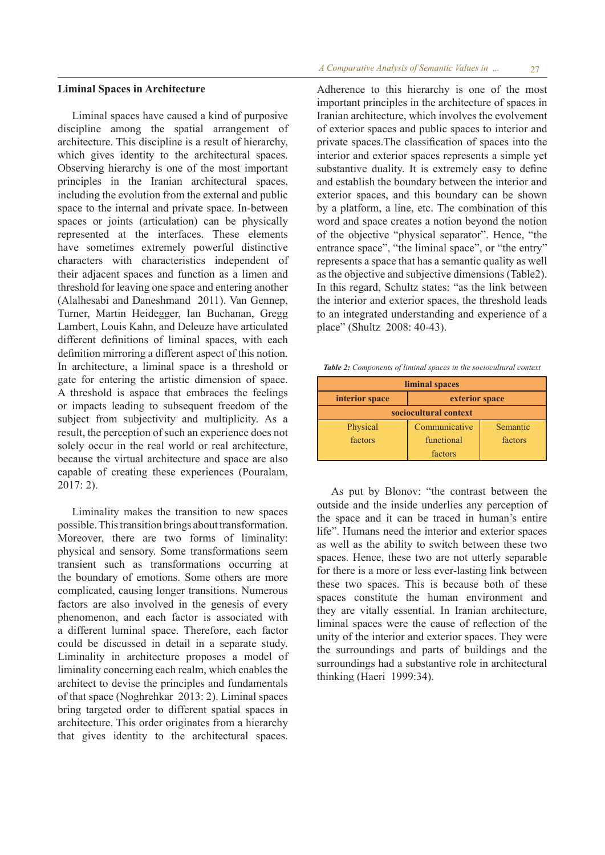### **Liminal Spaces in Architecture**

Liminal spaces have caused a kind of purposive discipline among the spatial arrangement of architecture. This discipline is a result of hierarchy, which gives identity to the architectural spaces. Observing hierarchy is one of the most important principles in the Iranian architectural spaces, including the evolution from the external and public space to the internal and private space. In-between spaces or joints (articulation) can be physically represented at the interfaces. These elements have sometimes extremely powerful distinctive characters with characteristics independent of their adjacent spaces and function as a limen and threshold for leaving one space and entering another (Alalhesabi and Daneshmand 2011). Van Gennep, Turner, Martin Heidegger, Ian Buchanan, Gregg Lambert, Louis Kahn, and Deleuze have articulated different definitions of liminal spaces, with each definition mirroring a different aspect of this notion. In architecture, a liminal space is a threshold or gate for entering the artistic dimension of space. A threshold is aspace that embraces the feelings or impacts leading to subsequent freedom of the subject from subjectivity and multiplicity. As a result, the perception of such an experience does not solely occur in the real world or real architecture, because the virtual architecture and space are also capable of creating these experiences (Pouralam, 2017: 2).

Liminality makes the transition to new spaces possible. This transition brings about transformation. Moreover, there are two forms of liminality: physical and sensory. Some transformations seem transient such as transformations occurring at the boundary of emotions. Some others are more complicated, causing longer transitions. Numerous factors are also involved in the genesis of every phenomenon, and each factor is associated with a different luminal space. Therefore, each factor could be discussed in detail in a separate study. Liminality in architecture proposes a model of liminality concerning each realm, which enables the architect to devise the principles and fundamentals of that space (Noghrehkar 2013: 2). Liminal spaces bring targeted order to different spatial spaces in architecture. This order originates from a hierarchy that gives identity to the architectural spaces. Adherence to this hierarchy is one of the most important principles in the architecture of spaces in Iranian architecture, which involves the evolvement of exterior spaces and public spaces to interior and private spaces.The classification of spaces into the interior and exterior spaces represents a simple yet substantive duality. It is extremely easy to define and establish the boundary between the interior and exterior spaces, and this boundary can be shown by a platform, a line, etc. The combination of this word and space creates a notion beyond the notion of the objective "physical separator". Hence, "the entrance space", "the liminal space", or "the entry" represents a space that has a semantic quality as well as the objective and subjective dimensions (Table2). In this regard, Schultz states: "as the link between the interior and exterior spaces, the threshold leads to an integrated understanding and experience of a place" (Shultz 2008: 40-43).

*Table 2: Components of liminal spaces in the sociocultural context* 

| liminal spaces                   |               |          |  |  |  |  |  |  |
|----------------------------------|---------------|----------|--|--|--|--|--|--|
| interior space<br>exterior space |               |          |  |  |  |  |  |  |
| sociocultural context            |               |          |  |  |  |  |  |  |
| Physical                         | Communicative | Semantic |  |  |  |  |  |  |
| factors                          | functional    | factors  |  |  |  |  |  |  |
|                                  | factors       |          |  |  |  |  |  |  |

As put by Blonov: "the contrast between the outside and the inside underlies any perception of the space and it can be traced in human's entire life". Humans need the interior and exterior spaces as well as the ability to switch between these two spaces. Hence, these two are not utterly separable for there is a more or less ever-lasting link between these two spaces. This is because both of these spaces constitute the human environment and they are vitally essential. In Iranian architecture, liminal spaces were the cause of reflection of the unity of the interior and exterior spaces. They were the surroundings and parts of buildings and the surroundings had a substantive role in architectural thinking (Haeri 1999:34).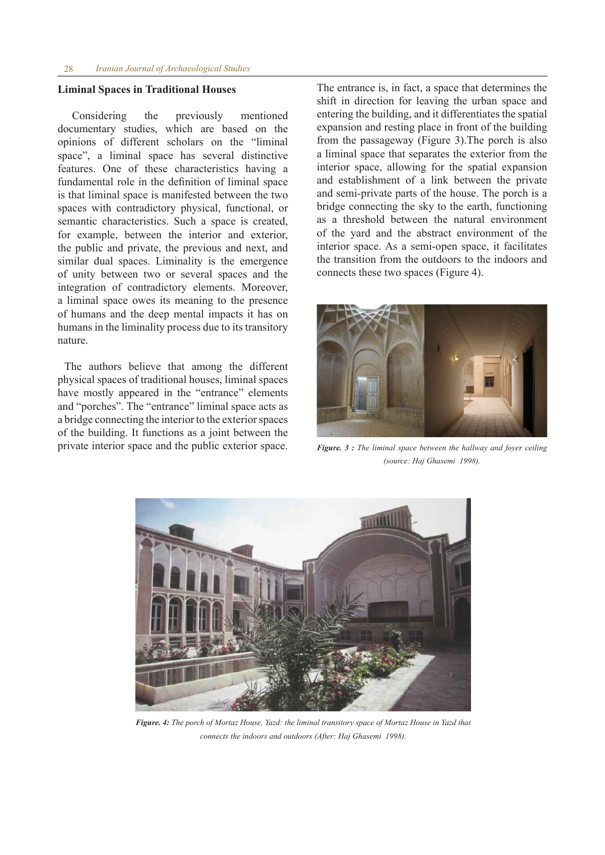# **Liminal Spaces in Traditional Houses**

Considering the previously mentioned documentary studies, which are based on the opinions of different scholars on the "liminal space", a liminal space has several distinctive features. One of these characteristics having a fundamental role in the definition of liminal space is that liminal space is manifested between the two spaces with contradictory physical, functional, or semantic characteristics. Such a space is created, for example, between the interior and exterior, the public and private, the previous and next, and similar dual spaces. Liminality is the emergence of unity between two or several spaces and the integration of contradictory elements. Moreover, a liminal space owes its meaning to the presence of humans and the deep mental impacts it has on humans in the liminality process due to its transitory nature.

 The authors believe that among the different physical spaces of traditional houses, liminal spaces have mostly appeared in the "entrance" elements and "porches". The "entrance" liminal space acts as a bridge connecting the interior to the exterior spaces of the building. It functions as a joint between the private interior space and the public exterior space. The entrance is, in fact, a space that determines the shift in direction for leaving the urban space and entering the building, and it differentiates the spatial expansion and resting place in front of the building from the passageway (Figure 3).The porch is also a liminal space that separates the exterior from the interior space, allowing for the spatial expansion and establishment of a link between the private and semi-private parts of the house. The porch is a bridge connecting the sky to the earth, functioning as a threshold between the natural environment of the yard and the abstract environment of the interior space. As a semi-open space, it facilitates the transition from the outdoors to the indoors and connects these two spaces (Figure 4).



*Figure. 3 : The liminal space between the hallway and foyer ceiling (source: Haj Ghasemi 1998).*



*Figure. 4: The porch of Mortaz House, Yazd: the liminal transitory space of Mortaz House in Yazd that connects the indoors and outdoors (After: Haj Ghasemi 1998).*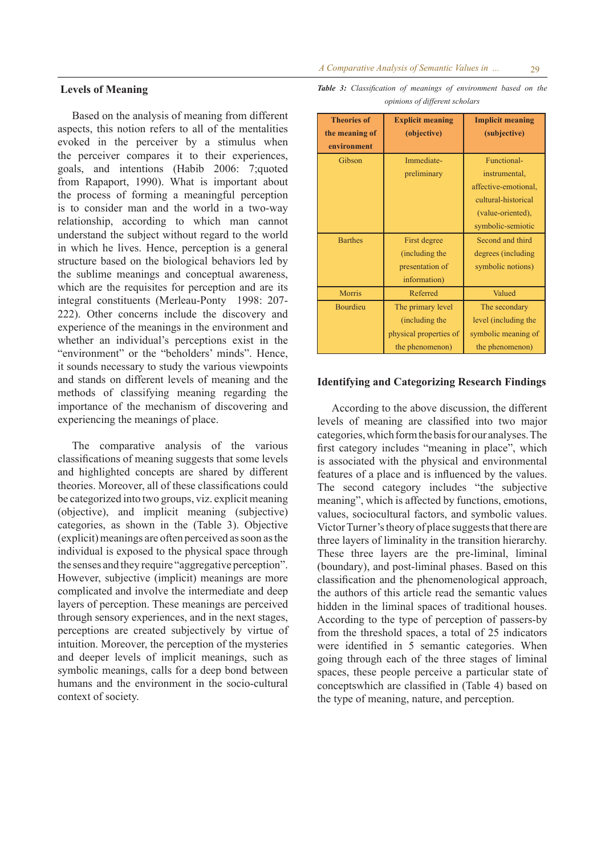# **Levels of Meaning**

Based on the analysis of meaning from different aspects, this notion refers to all of the mentalities evoked in the perceiver by a stimulus when the perceiver compares it to their experiences, goals, and intentions (Habib 2006: 7;quoted from Rapaport, 1990). What is important about the process of forming a meaningful perception is to consider man and the world in a two-way relationship, according to which man cannot understand the subject without regard to the world in which he lives. Hence, perception is a general structure based on the biological behaviors led by the sublime meanings and conceptual awareness, which are the requisites for perception and are its integral constituents (Merleau-Ponty 1998: 207- 222). Other concerns include the discovery and experience of the meanings in the environment and whether an individual's perceptions exist in the "environment" or the "beholders' minds". Hence, it sounds necessary to study the various viewpoints and stands on different levels of meaning and the methods of classifying meaning regarding the importance of the mechanism of discovering and experiencing the meanings of place.

The comparative analysis of the various classifications of meaning suggests that some levels and highlighted concepts are shared by different theories. Moreover, all of these classifications could be categorized into two groups, viz. explicit meaning (objective), and implicit meaning (subjective) categories, as shown in the (Table 3). Objective (explicit) meanings are often perceived as soon as the individual is exposed to the physical space through the senses and they require "aggregative perception". However, subjective (implicit) meanings are more complicated and involve the intermediate and deep layers of perception. These meanings are perceived through sensory experiences, and in the next stages, perceptions are created subjectively by virtue of intuition. Moreover, the perception of the mysteries and deeper levels of implicit meanings, such as symbolic meanings, calls for a deep bond between humans and the environment in the socio-cultural context of society.

*Table 3: Classification of meanings of environment based on the opinions of different scholars* 

| <b>Theories of</b> | <b>Explicit meaning</b> | <b>Implicit meaning</b> |
|--------------------|-------------------------|-------------------------|
| the meaning of     | (objective)             | (subjective)            |
| environment        |                         |                         |
| Gibson             | Immediate-              | Functional-             |
|                    | preliminary             | instrumental,           |
|                    |                         | affective-emotional.    |
|                    |                         | cultural-historical     |
|                    |                         | (value-oriented),       |
|                    |                         | symbolic-semiotic       |
| <b>Barthes</b>     | First degree            | Second and third        |
|                    | (including the          | degrees (including      |
|                    | presentation of         | symbolic notions)       |
|                    | information)            |                         |
| Morris             | Referred                | Valued                  |
| <b>Bourdieu</b>    | The primary level       | The secondary           |
|                    | (including the          | level (including the    |
|                    | physical properties of  | symbolic meaning of     |
|                    | the phenomenon)         | the phenomenon)         |

#### **Identifying and Categorizing Research Findings**

According to the above discussion, the different levels of meaning are classified into two major categories, which form the basis for our analyses. The first category includes "meaning in place", which is associated with the physical and environmental features of a place and is influenced by the values. The second category includes "the subjective meaning", which is affected by functions, emotions, values, sociocultural factors, and symbolic values. Victor Turner's theory of place suggests that there are three layers of liminality in the transition hierarchy. These three layers are the pre-liminal, liminal (boundary), and post-liminal phases. Based on this classification and the phenomenological approach, the authors of this article read the semantic values hidden in the liminal spaces of traditional houses. According to the type of perception of passers-by from the threshold spaces, a total of 25 indicators were identified in 5 semantic categories. When going through each of the three stages of liminal spaces, these people perceive a particular state of conceptswhich are classified in (Table 4) based on the type of meaning, nature, and perception.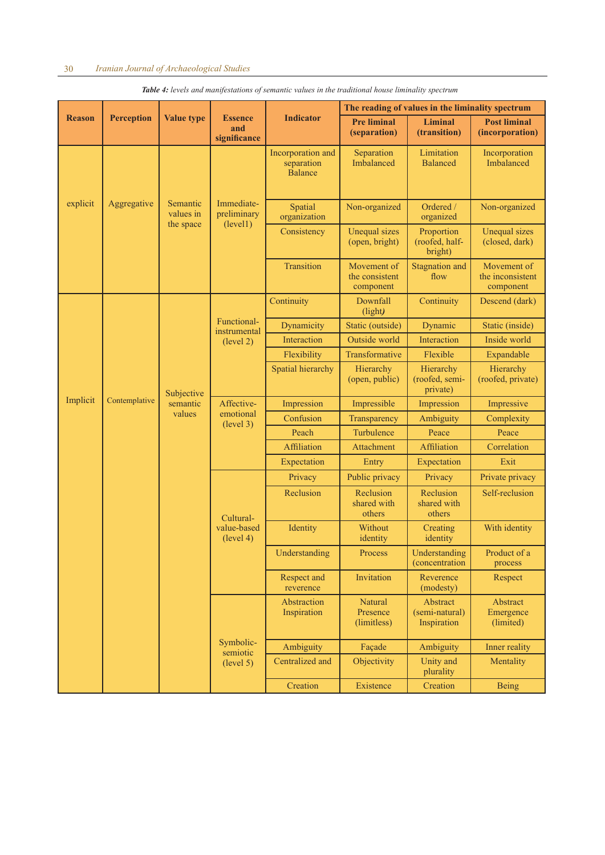|               |                   |                                    |                                       |                                                   | The reading of values in the liminality spectrum |                                           |                                              |  |
|---------------|-------------------|------------------------------------|---------------------------------------|---------------------------------------------------|--------------------------------------------------|-------------------------------------------|----------------------------------------------|--|
| <b>Reason</b> | <b>Perception</b> | <b>Value type</b>                  | <b>Essence</b><br>and<br>significance | <b>Indicator</b>                                  | <b>Pre liminal</b><br>(separation)               | <b>Liminal</b><br>(transition)            | <b>Post liminal</b><br>(incorporation)       |  |
|               |                   |                                    |                                       | Incorporation and<br>separation<br><b>Balance</b> | Separation<br>Imbalanced                         | Limitation<br><b>Balanced</b>             | Incorporation<br>Imbalanced                  |  |
| explicit      | Aggregative       | Semantic<br>values in<br>the space | Immediate-<br>preliminary<br>(level1) | Spatial<br>organization                           | Non-organized                                    | Ordered /<br>organized                    | Non-organized                                |  |
|               |                   |                                    |                                       | Consistency                                       | <b>Unequal sizes</b><br>(open, bright)           | Proportion<br>(roofed, half-<br>bright)   | <b>Unequal sizes</b><br>(closed, dark)       |  |
|               |                   |                                    |                                       | Transition                                        | Movement of<br>the consistent<br>component       | <b>Stagnation</b> and<br>flow             | Movement of<br>the inconsistent<br>component |  |
|               |                   |                                    |                                       | Continuity                                        | Downfall<br>(light)                              | Continuity                                | Descend (dark)                               |  |
|               |                   |                                    | Functional-<br>instrumental           | Dynamicity                                        | Static (outside)                                 | Dynamic                                   | Static (inside)                              |  |
|               |                   |                                    | (level 2)                             | Interaction                                       | Outside world                                    | Interaction                               | Inside world                                 |  |
|               |                   |                                    |                                       | Flexibility                                       | Transformative                                   | Flexible                                  | Expandable                                   |  |
|               |                   | Subjective                         |                                       | Spatial hierarchy                                 | Hierarchy<br>(open, public)                      | Hierarchy<br>(roofed, semi-<br>private)   | Hierarchy<br>(roofed, private)               |  |
| Implicit      | Contemplative     | semantic                           | Affective-                            | Impression                                        | Impressible                                      | Impression                                | Impressive                                   |  |
|               |                   | values                             | emotional<br>(level 3)                | Confusion                                         | Transparency                                     | Ambiguity                                 | Complexity                                   |  |
|               |                   |                                    |                                       | Peach                                             | Turbulence                                       | Peace                                     | Peace                                        |  |
|               |                   |                                    |                                       | Affiliation                                       | Attachment                                       | Affiliation                               | Correlation                                  |  |
|               |                   |                                    |                                       | Expectation                                       | Entry                                            | Expectation                               | Exit                                         |  |
|               |                   |                                    |                                       | Privacy                                           | Public privacy                                   | Privacy                                   | Private privacy                              |  |
|               |                   |                                    | Cultural-                             | Reclusion                                         | Reclusion<br>shared with<br>others               | Reclusion<br>shared with<br>others        | Self-reclusion                               |  |
|               |                   |                                    | value-based<br>(level 4)              | Identity                                          | Without<br>identity                              | Creating<br>identity                      | With identity                                |  |
|               |                   |                                    |                                       | Understanding                                     | Process                                          | Understanding<br><i>(concentration)</i>   | Product of a<br>process                      |  |
|               |                   |                                    |                                       | Respect and<br>reverence                          | Invitation                                       | Reverence<br>(modesty)                    | Respect                                      |  |
|               |                   |                                    |                                       | Abstraction<br>Inspiration                        | Natural<br>Presence<br>(limitless)               | Abstract<br>(semi-natural)<br>Inspiration | Abstract<br>Emergence<br>(limited)           |  |
|               |                   |                                    | Symbolic-<br>semiotic                 | Ambiguity                                         | Façade                                           | Ambiguity                                 | Inner reality                                |  |
|               |                   |                                    | (level 5)                             | Centralized and                                   | Objectivity                                      | Unity and<br>plurality                    | Mentality                                    |  |
|               |                   |                                    |                                       | Creation                                          | Existence                                        | Creation                                  | <b>Being</b>                                 |  |

*Table 4: levels and manifestations of semantic values in the traditional house liminality spectrum*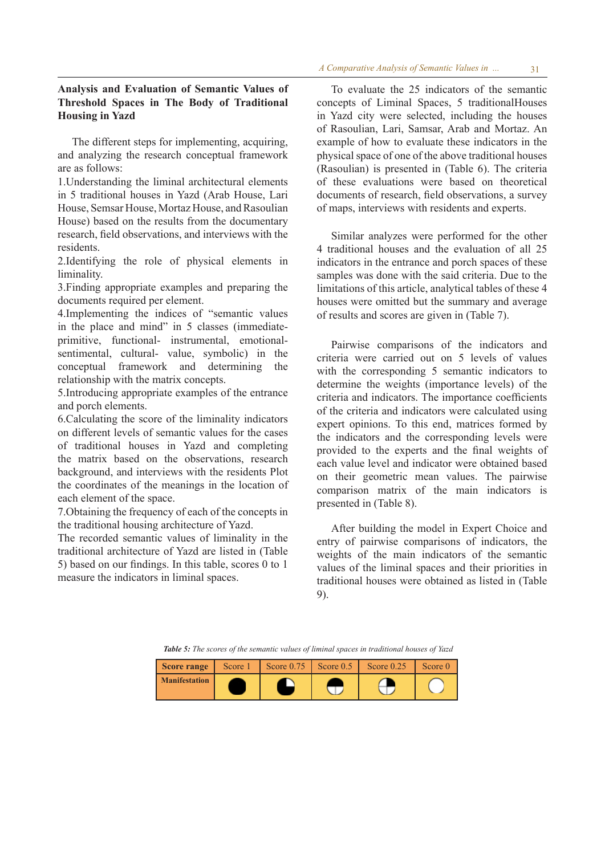# **Analysis and Evaluation of Semantic Values of Threshold Spaces in The Body of Traditional Housing in Yazd**

The different steps for implementing, acquiring, and analyzing the research conceptual framework are as follows:

1.Understanding the liminal architectural elements in 5 traditional houses in Yazd (Arab House, Lari House, Semsar House, Mortaz House, and Rasoulian House) based on the results from the documentary research, field observations, and interviews with the residents.

2.Identifying the role of physical elements in liminality.

3.Finding appropriate examples and preparing the documents required per element.

4.Implementing the indices of "semantic values in the place and mind" in 5 classes (immediateprimitive, functional- instrumental, emotionalsentimental, cultural- value, symbolic) in the conceptual framework and determining the relationship with the matrix concepts.

5.Introducing appropriate examples of the entrance and porch elements.

6.Calculating the score of the liminality indicators on different levels of semantic values for the cases of traditional houses in Yazd and completing the matrix based on the observations, research background, and interviews with the residents Plot the coordinates of the meanings in the location of each element of the space.

7.Obtaining the frequency of each of the concepts in the traditional housing architecture of Yazd.

The recorded semantic values of liminality in the traditional architecture of Yazd are listed in (Table 5) based on our findings. In this table, scores 0 to 1 measure the indicators in liminal spaces.

To evaluate the 25 indicators of the semantic concepts of Liminal Spaces, 5 traditionalHouses in Yazd city were selected, including the houses of Rasoulian, Lari, Samsar, Arab and Mortaz. An example of how to evaluate these indicators in the physical space of one of the above traditional houses (Rasoulian) is presented in (Table 6). The criteria of these evaluations were based on theoretical documents of research, field observations, a survey of maps, interviews with residents and experts.

Similar analyzes were performed for the other 4 traditional houses and the evaluation of all 25 indicators in the entrance and porch spaces of these samples was done with the said criteria. Due to the limitations of this article, analytical tables of these 4 houses were omitted but the summary and average of results and scores are given in (Table 7).

Pairwise comparisons of the indicators and criteria were carried out on 5 levels of values with the corresponding 5 semantic indicators to determine the weights (importance levels) of the criteria and indicators. The importance coefficients of the criteria and indicators were calculated using expert opinions. To this end, matrices formed by the indicators and the corresponding levels were provided to the experts and the final weights of each value level and indicator were obtained based on their geometric mean values. The pairwise comparison matrix of the main indicators is presented in (Table 8).

After building the model in Expert Choice and entry of pairwise comparisons of indicators, the weights of the main indicators of the semantic values of the liminal spaces and their priorities in traditional houses were obtained as listed in (Table 9).

*Table 5: The scores of the semantic values of liminal spaces in traditional houses of Yazd* 

| <b>Score range</b>   | Score 1 | Score $0.75$ Score $0.5$ Score $0.5$ | Score $0.25$ | Score 0 |
|----------------------|---------|--------------------------------------|--------------|---------|
| <b>Manifestation</b> |         |                                      |              |         |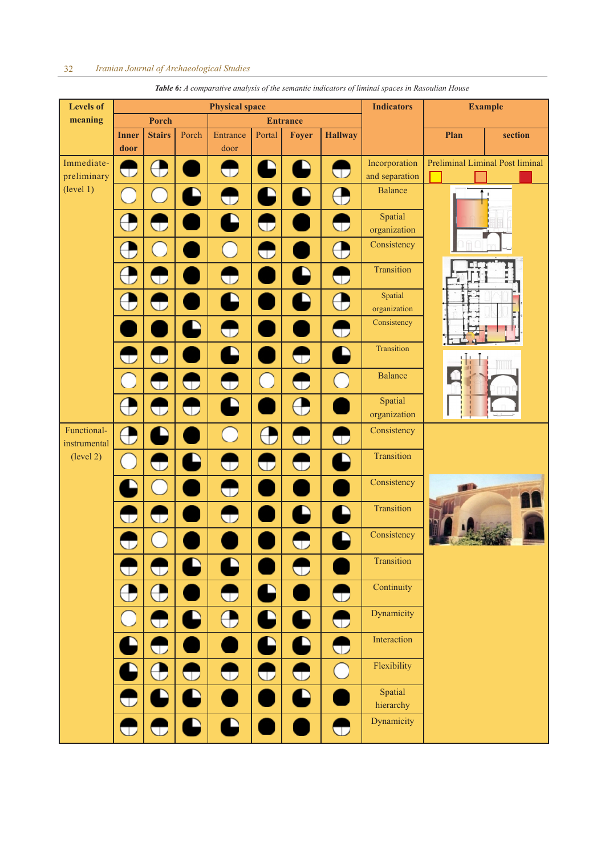| <b>Levels of</b>            |                         |                         |                          | <b>Physical space</b>                  |                  |                          |                          | <b>Indicators</b>               | <b>Example</b> |                                 |  |
|-----------------------------|-------------------------|-------------------------|--------------------------|----------------------------------------|------------------|--------------------------|--------------------------|---------------------------------|----------------|---------------------------------|--|
| meaning                     |                         | Porch                   |                          |                                        |                  | <b>Entrance</b>          |                          |                                 |                |                                 |  |
|                             | <b>Inner</b><br>door    | <b>Stairs</b>           | Porch                    | Entrance<br>door                       | Portal           | Foyer                    | <b>Hallway</b>           |                                 | Plan           | section                         |  |
| Immediate-<br>preliminary   | ᠳ                       | $\bigoplus$             |                          | $\bigoplus$                            | D                | A                        | $\bigoplus$              | Incorporation<br>and separation |                | Preliminal Liminal Post liminal |  |
| (level 1)                   | ò.                      |                         | D                        | $\bigoplus$                            | D                | P                        | $\bigoplus$              | <b>Balance</b>                  |                | $\blacksquare$                  |  |
|                             |                         |                         |                          | D                                      | ₩                |                          | ▽                        | Spatial<br>organization         |                |                                 |  |
|                             | Э                       | $\overline{a}$          |                          | $\begin{array}{c} \square \end{array}$ | ▽                |                          | ⊕                        | Consistency                     |                |                                 |  |
|                             | Э                       | J                       |                          | $\mathbb \Omega$                       |                  | L                        | $\bigoplus$              | Transition                      |                |                                 |  |
|                             | $\bigoplus$             | w                       |                          | D                                      |                  | D                        | $\bigoplus$              | Spatial<br>organization         |                |                                 |  |
|                             |                         |                         | D                        | $\bigoplus$                            |                  |                          | $\bigoplus$              | Consistency                     |                |                                 |  |
|                             | ▽                       | $\overline{\mathbb{U}}$ |                          | Q                                      |                  | $\bigoplus$              | Q                        | Transition                      |                | W                               |  |
|                             |                         |                         | $\mathbb{C}$             | $\overline{\mathbb{U}}$                | $\bigcirc$       | J                        | $\overline{(\cdot)}$     | <b>Balance</b>                  |                |                                 |  |
|                             | $\bigoplus$             | $\cup$                  | Ð                        | Q                                      |                  | $\bigoplus$              |                          | Spatial<br>organization         |                |                                 |  |
| Functional-<br>instrumental | $\bigoplus$             |                         |                          | $(\ )$                                 | $\bigoplus$      | ▽                        | $\bigoplus$              | Consistency                     |                |                                 |  |
| (level 2)                   |                         | $\bigcirc$              | $\overline{\phantom{0}}$ | $\bigoplus$                            | $\mathbb \Omega$ | $\bigcirc$               | Q                        | Transition                      |                |                                 |  |
|                             |                         |                         |                          | $\bigoplus$                            |                  |                          |                          | Consistency                     |                |                                 |  |
|                             |                         |                         |                          | $\bigodot$                             |                  | $\overline{\phantom{0}}$ | Q                        | Transition                      |                |                                 |  |
|                             | رال                     |                         |                          |                                        |                  | U                        | $\overline{\phantom{0}}$ | Consistency                     |                |                                 |  |
|                             |                         | $\bigoplus$             | D                        | Q                                      |                  | $\bigoplus$              |                          | Transition                      |                |                                 |  |
|                             | $\bigoplus$             | $\bigoplus$             |                          | $\bigoplus$                            | Q                |                          | $\bigoplus$              | Continuity<br>Dynamicity        |                |                                 |  |
|                             | $(\ )$                  | $\bigodot$              | D                        | $\bigoplus$                            | D                | £                        | ⊕                        | Interaction                     |                |                                 |  |
|                             |                         | $\bigcup$               |                          |                                        | D                | C                        | $\bigoplus$              | Flexibility                     |                |                                 |  |
|                             |                         | $\bigoplus$             | $\bigoplus$              | $\bigoplus$                            | $\bigoplus$      | $\bigoplus$              | $\bigcirc$               | Spatial                         |                |                                 |  |
|                             | $\cup$                  | D                       | D                        |                                        |                  | Q                        |                          | hierarchy                       |                |                                 |  |
|                             | $\overline{\mathbf{C}}$ | $\bigoplus$             | D                        | Q                                      |                  |                          | $\bigoplus$              | Dynamicity                      |                |                                 |  |

*Table 6: A comparative analysis of the semantic indicators of liminal spaces in Rasoulian House*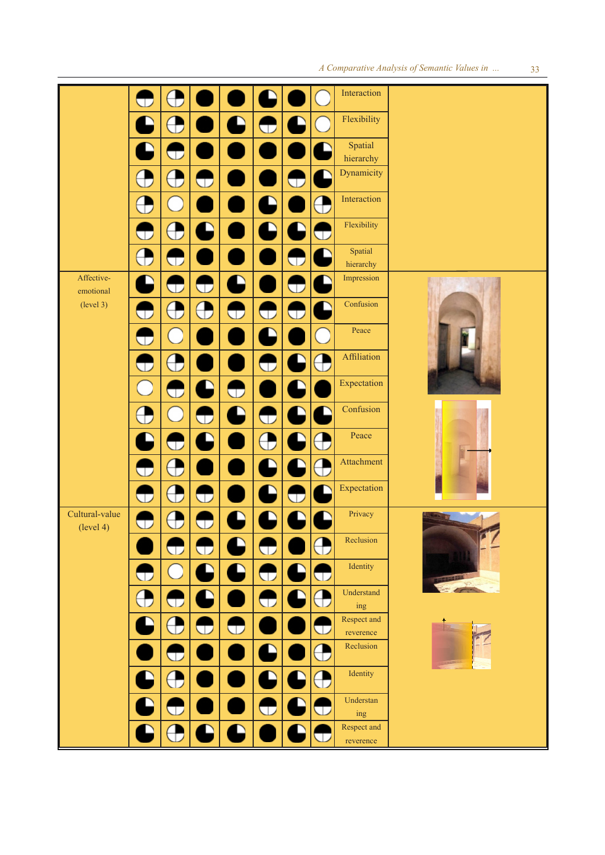|                             | $\bigcirc$  |              |                                               |                          |                          |                          |                   | Interaction                         |  |
|-----------------------------|-------------|--------------|-----------------------------------------------|--------------------------|--------------------------|--------------------------|-------------------|-------------------------------------|--|
|                             |             |              |                                               | $\overline{\phantom{a}}$ |                          | $\overline{\phantom{a}}$ |                   | Flexibility                         |  |
|                             |             | $\mathbb U$  |                                               |                          |                          |                          |                   | Spatial                             |  |
|                             |             |              |                                               |                          |                          |                          |                   | hierarchy<br>Dynamicity             |  |
|                             |             | $\bigodot$   |                                               |                          |                          | ▽                        | U                 |                                     |  |
|                             |             | t            |                                               |                          | $\overline{\phantom{0}}$ |                          | $\bf \Phi$        | Interaction                         |  |
|                             | $\bigcirc$  | $\bigoplus$  | ζ                                             |                          | D                        | D                        | J                 | Flexibility                         |  |
|                             |             | J            |                                               |                          |                          | $\bigoplus$              | D                 | Spatial<br>hierarchy                |  |
| Affective-                  | $\Box$      | $\mathbb{D}$ | $\bigcirc$                                    | ہا                       |                          | $\bigoplus$              | $\mathbf{\Gamma}$ | Impression                          |  |
| emotional<br>(level 3)      |             |              |                                               |                          |                          |                          | $\supset$         | Confusion                           |  |
|                             | U           | $\bigoplus$  | $\left( \begin{array}{c} \end{array} \right)$ | U                        | w                        | ▽                        |                   |                                     |  |
|                             | ᠳ           |              |                                               |                          | Ç                        |                          |                   | Peace                               |  |
|                             |             | $\bigoplus$  |                                               |                          | J                        | D                        | $\bf \Phi$        | Affiliation                         |  |
|                             |             | $\mathbb{D}$ | C                                             | $\bigcirc$               |                          | $\overline{\phantom{0}}$ |                   | Expectation                         |  |
|                             |             |              |                                               | C                        |                          | C                        | D                 | Confusion                           |  |
|                             |             |              | $\bigoplus$                                   |                          | $\bigoplus$              |                          |                   |                                     |  |
|                             |             |              |                                               |                          | $\bigoplus$              |                          |                   | Peace                               |  |
|                             | w           | $\bigoplus$  |                                               |                          | C                        |                          | $\rightarrow$     | Attachment                          |  |
|                             | $\bigcup$   | $\bigoplus$  | Œ                                             |                          | $\overline{\phantom{0}}$ | $\overline{\mathbb{U}}$  | D                 | Expectation                         |  |
| Cultural-value<br>(level 4) | $\mathbb U$ |              |                                               | $\overline{\phantom{0}}$ | Ľ                        |                          | D                 | Privacy                             |  |
|                             |             |              |                                               |                          | ◡                        |                          |                   | Reclusion                           |  |
|                             | $\bigcirc$  | C.           |                                               | Ê                        | $\overline{\mathbb{U}}$  | D                        | U                 | Identity                            |  |
|                             |             | U            |                                               |                          | ∪                        | $\overline{\phantom{a}}$ | $\bigoplus$       | Understand                          |  |
|                             |             |              |                                               |                          |                          |                          |                   | $\operatorname{ing}$<br>Respect and |  |
|                             |             |              | U                                             | U                        |                          |                          | را.               | reverence                           |  |
|                             |             | J            |                                               |                          | L                        |                          |                   | Reclusion                           |  |
|                             |             |              |                                               |                          |                          |                          |                   | Identity                            |  |
|                             |             |              |                                               |                          |                          |                          |                   | Understan                           |  |
|                             |             |              |                                               |                          |                          |                          | J                 | $\operatorname{ing}$                |  |
|                             |             |              |                                               |                          |                          |                          |                   | Respect and<br>reverence            |  |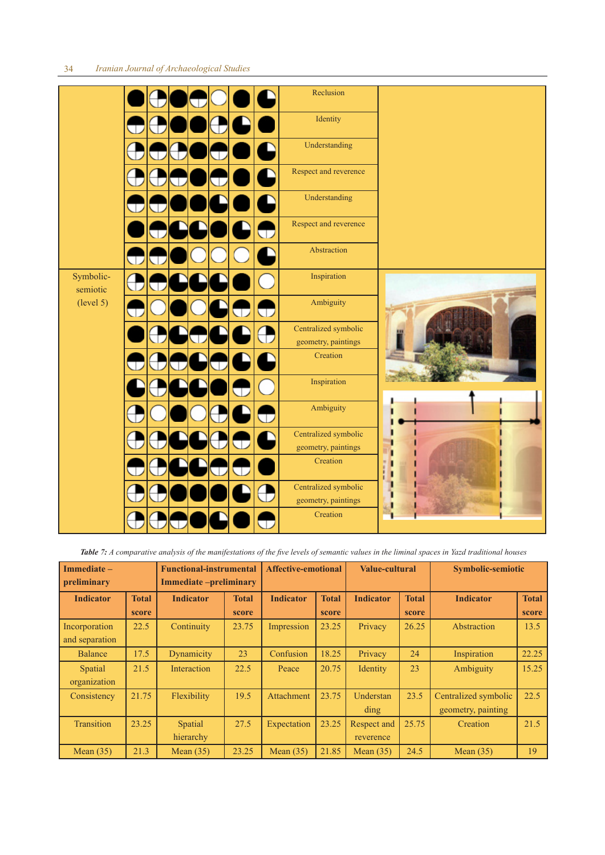# 34 *Iranian Journal of Archaeological Studies*

|                       |        | Reclusion                                   |             |
|-----------------------|--------|---------------------------------------------|-------------|
|                       |        | Identity                                    |             |
|                       |        | Understanding                               |             |
|                       | D      | Respect and reverence                       |             |
|                       |        | Understanding                               |             |
|                       | U      | Respect and reverence                       |             |
|                       |        | Abstraction                                 |             |
| Symbolic-<br>semiotic | €      | Inspiration                                 |             |
| (level 5)             | Þ<br>J | Ambiguity                                   |             |
|                       |        | Centralized symbolic<br>geometry, paintings |             |
|                       |        | Creation                                    |             |
|                       |        | Inspiration                                 |             |
|                       |        | Ambiguity                                   |             |
|                       | ر ا    | Centralized symbolic<br>geometry, paintings |             |
|                       |        | Creation                                    | П<br>٠<br>п |
|                       |        | Centralized symbolic<br>geometry, paintings | Π<br>П      |
|                       |        | Creation                                    |             |

*Table 7: A comparative analysis of the manifestations of the five levels of semantic values in the liminal spaces in Yazd traditional houses* 

| Immediate-<br>preliminary       |                       | <b>Functional-instrumental</b><br>Immediate-preliminary |                       |                   | <b>Affective-emotional</b> |                          | <b>Value-cultural</b> | <b>Symbolic-semiotic</b>                   |                       |
|---------------------------------|-----------------------|---------------------------------------------------------|-----------------------|-------------------|----------------------------|--------------------------|-----------------------|--------------------------------------------|-----------------------|
| <b>Indicator</b>                | <b>Total</b><br>score | <b>Indicator</b>                                        | <b>Total</b><br>score | <b>Indicator</b>  | <b>Total</b><br>score      | <b>Indicator</b>         | <b>Total</b><br>score | <b>Indicator</b>                           | <b>Total</b><br>score |
| Incorporation<br>and separation | 22.5                  | Continuity                                              | 23.75                 | Impression        | 23.25                      | Privacy                  | 26.25                 | Abstraction                                | 13.5                  |
| <b>Balance</b>                  | 17.5                  | Dynamicity                                              | 23                    | Confusion         | 18.25                      | Privacy                  | 24                    | Inspiration                                | 22.25                 |
| Spatial<br>organization         | 21.5                  | Interaction                                             | 22.5                  | Peace             | 20.75                      | Identity                 | 23                    | Ambiguity                                  | 15.25                 |
| Consistency                     | 21.75                 | Flexibility                                             | 19.5                  | <b>Attachment</b> | 23.75                      | Understan<br>ding        | 23.5                  | Centralized symbolic<br>geometry, painting | 22.5                  |
| Transition                      | 23.25                 | Spatial<br>hierarchy                                    | 27.5                  | Expectation       | 23.25                      | Respect and<br>reverence | 25.75                 | Creation                                   | 21.5                  |
| Mean $(35)$                     | 21.3                  | Mean $(35)$                                             | 23.25                 | Mean $(35)$       | 21.85                      | Mean $(35)$              | 24.5                  | Mean $(35)$                                | 19                    |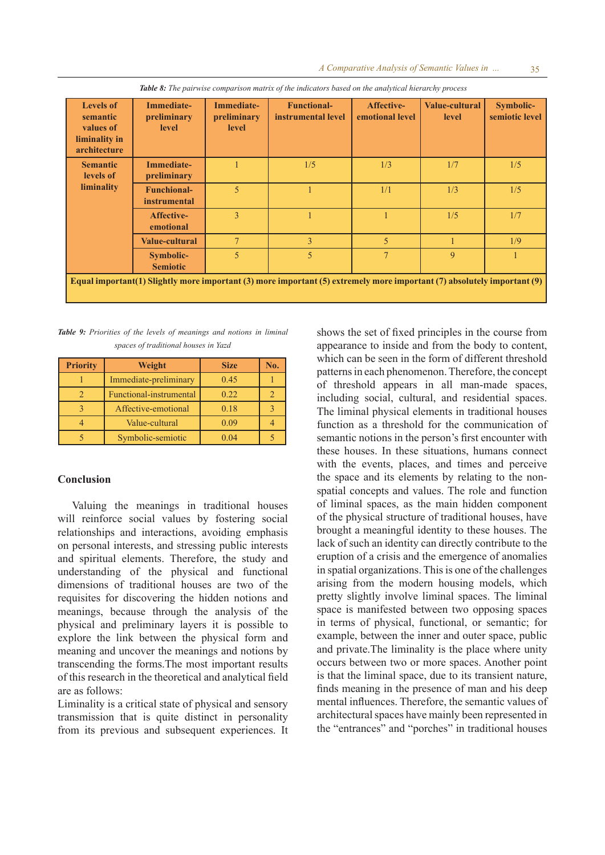| <b>Levels of</b><br>semantic<br>values of<br>liminality in<br>architecture | <b>Immediate-</b><br>preliminary<br><b>level</b> | <b>Immediate-</b><br>preliminary<br>level | <b>Functional-</b><br>instrumental level                                                                                | Affective-<br>emotional level | <b>Value-cultural</b><br>level | Symbolic-<br>semiotic level |
|----------------------------------------------------------------------------|--------------------------------------------------|-------------------------------------------|-------------------------------------------------------------------------------------------------------------------------|-------------------------------|--------------------------------|-----------------------------|
| <b>Semantic</b><br>levels of                                               | <b>Immediate-</b><br>preliminary                 |                                           | 1/5                                                                                                                     | 1/3                           | 1/7                            | 1/5                         |
| liminality                                                                 | <b>Funchional-</b><br><i>instrumental</i>        | $\overline{5}$                            |                                                                                                                         | 1/1                           | 1/3                            | 1/5                         |
|                                                                            | Affective-<br>emotional                          | 3                                         |                                                                                                                         |                               | 1/5                            | 1/7                         |
|                                                                            | <b>Value-cultural</b>                            | $\tau$                                    | 3                                                                                                                       | 5                             |                                | 1/9                         |
|                                                                            | <b>Symbolic-</b><br><b>Semiotic</b>              | 5                                         | 5                                                                                                                       | $\tau$                        | 9                              |                             |
|                                                                            |                                                  |                                           | Equal important(1) Slightly more important (3) more important (5) extremely more important (7) absolutely important (9) |                               |                                |                             |

*Table 8: The pairwise comparison matrix of the indicators based on the analytical hierarchy process* 

*Table 9: Priorities of the levels of meanings and notions in liminal spaces of traditional houses in Yazd*

| <b>Priority</b> | Weight                  | <b>Size</b> | No. |
|-----------------|-------------------------|-------------|-----|
|                 | Immediate-preliminary   | 0.45        |     |
|                 | Functional-instrumental | 0.22        |     |
|                 | Affective-emotional     | 0.18        |     |
|                 | Value-cultural          | 0.09        |     |
|                 | Symbolic-semiotic       | 0.04        |     |

# **Conclusion**

Valuing the meanings in traditional houses will reinforce social values by fostering social relationships and interactions, avoiding emphasis on personal interests, and stressing public interests and spiritual elements. Therefore, the study and understanding of the physical and functional dimensions of traditional houses are two of the requisites for discovering the hidden notions and meanings, because through the analysis of the physical and preliminary layers it is possible to explore the link between the physical form and meaning and uncover the meanings and notions by transcending the forms.The most important results of this research in the theoretical and analytical field are as follows:

Liminality is a critical state of physical and sensory transmission that is quite distinct in personality from its previous and subsequent experiences. It shows the set of fixed principles in the course from appearance to inside and from the body to content, which can be seen in the form of different threshold patterns in each phenomenon. Therefore, the concept of threshold appears in all man-made spaces, including social, cultural, and residential spaces. The liminal physical elements in traditional houses function as a threshold for the communication of semantic notions in the person's first encounter with these houses. In these situations, humans connect with the events, places, and times and perceive the space and its elements by relating to the nonspatial concepts and values. The role and function of liminal spaces, as the main hidden component of the physical structure of traditional houses, have brought a meaningful identity to these houses. The lack of such an identity can directly contribute to the eruption of a crisis and the emergence of anomalies in spatial organizations. This is one of the challenges arising from the modern housing models, which pretty slightly involve liminal spaces. The liminal space is manifested between two opposing spaces in terms of physical, functional, or semantic; for example, between the inner and outer space, public and private.The liminality is the place where unity occurs between two or more spaces. Another point is that the liminal space, due to its transient nature, finds meaning in the presence of man and his deep mental influences. Therefore, the semantic values of architectural spaces have mainly been represented in the "entrances" and "porches" in traditional houses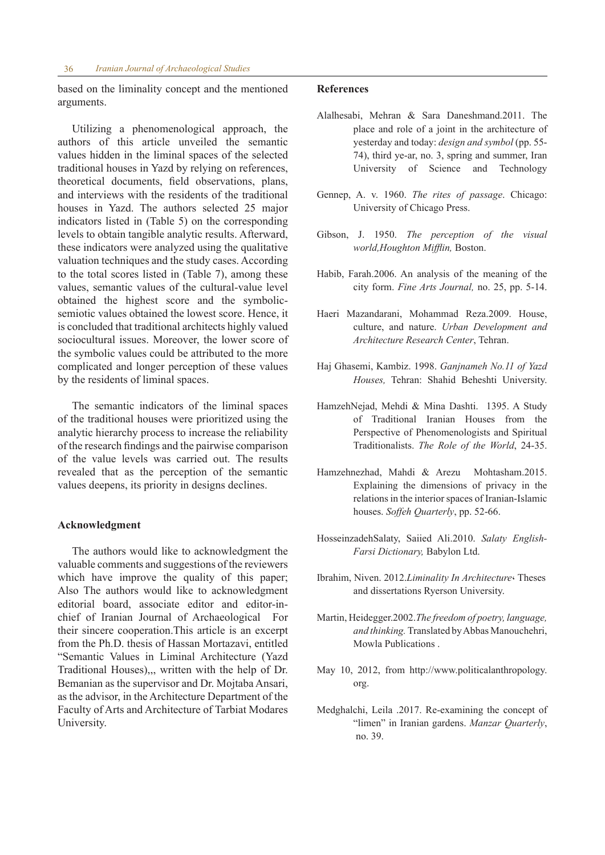based on the liminality concept and the mentioned arguments.

Utilizing a phenomenological approach, the authors of this article unveiled the semantic values hidden in the liminal spaces of the selected traditional houses in Yazd by relying on references, theoretical documents, field observations, plans, and interviews with the residents of the traditional houses in Yazd. The authors selected 25 major indicators listed in (Table 5) on the corresponding levels to obtain tangible analytic results. Afterward, these indicators were analyzed using the qualitative valuation techniques and the study cases. According to the total scores listed in (Table 7), among these values, semantic values of the cultural-value level obtained the highest score and the symbolicsemiotic values obtained the lowest score. Hence, it is concluded that traditional architects highly valued sociocultural issues. Moreover, the lower score of the symbolic values could be attributed to the more complicated and longer perception of these values by the residents of liminal spaces.

The semantic indicators of the liminal spaces of the traditional houses were prioritized using the analytic hierarchy process to increase the reliability of the research findings and the pairwise comparison of the value levels was carried out. The results revealed that as the perception of the semantic values deepens, its priority in designs declines.

## **Acknowledgment**

The authors would like to acknowledgment the valuable comments and suggestions of the reviewers which have improve the quality of this paper; Also The authors would like to acknowledgment editorial board, associate editor and editor-inchief of Iranian Journal of Archaeological For their sincere cooperation.This article is an excerpt from the Ph.D. thesis of Hassan Mortazavi, entitled "Semantic Values in Liminal Architecture (Yazd Traditional Houses),,, written with the help of Dr. Bemanian as the supervisor and Dr. Mojtaba Ansari, as the advisor, in the Architecture Department of the Faculty of Arts and Architecture of Tarbiat Modares University.

## **References**

- Alalhesabi, Mehran & Sara Daneshmand.2011. The place and role of a joint in the architecture of yesterday and today: *design and symbol* (pp. 55- 74), third ye-ar, no. 3, spring and summer, Iran University of Science and Technology
- Gennep, A. v. 1960. *The rites of passage*. Chicago: University of Chicago Press.
- Gibson, J. 1950. *The perception of the visual world,Houghton Mifflin,* Boston.
- Habib, Farah.2006. An analysis of the meaning of the city form. *Fine Arts Journal,* no. 25, pp. 5-14.
- Haeri Mazandarani, Mohammad Reza.2009. House, culture, and nature. *Urban Development and Architecture Research Center*, Tehran.
- Haj Ghasemi, Kambiz. 1998. *Ganjnameh No.11 of Yazd Houses,* Tehran: Shahid Beheshti University.
- HamzehNejad, Mehdi & Mina Dashti. 1395. A Study of Traditional Iranian Houses from the Perspective of Phenomenologists and Spiritual Traditionalists. *The Role of the World*, 24-35.
- Hamzehnezhad, Mahdi & Arezu Mohtasham.2015. Explaining the dimensions of privacy in the relations in the interior spaces of Iranian-Islamic houses. *Soffeh Quarterly*, pp. 52-66.
- HosseinzadehSalaty, Saiied Ali.2010. *Salaty English-Farsi Dictionary,* Babylon Ltd.
- Ibrahim, Niven. 2012.*Liminality In Architecture*، Theses and dissertations Ryerson University.
- Martin, Heidegger.2002.*The freedom of poetry, language, and thinking.* Translated by Abbas Manouchehri, Mowla Publications .
- May 10, 2012, from http://www.politicalanthropology. org.
- Medghalchi, Leila .2017. Re-examining the concept of "limen" in Iranian gardens. *Manzar Quarterly*, no. 39.